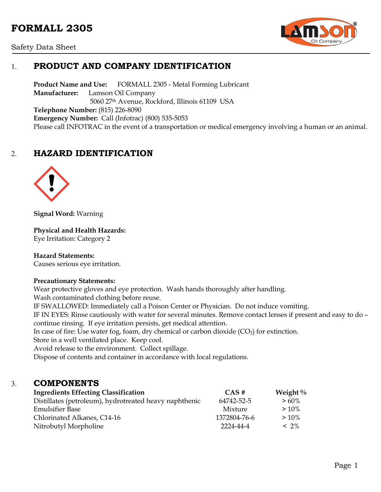# **FORMALL 2305**





# 1. **PRODUCT AND COMPANY IDENTIFICATION**

**Product Name and Use:** FORMALL 2305 - Metal Forming Lubricant **Manufacturer:** Lamson Oil Company 5060 27th Avenue, Rockford, Illinois 61109 USA **Telephone Number:** (815) 226-8090 **Emergency Number:** Call (Infotrac) (800) 535-5053 Please call INFOTRAC in the event of a transportation or medical emergency involving a human or an animal.

# 2. **HAZARD IDENTIFICATION**



**Signal Word:** Warning

**Physical and Health Hazards:**

Eye Irritation: Category 2

### **Hazard Statements:**

Causes serious eye irritation.

### **Precautionary Statements:**

Wear protective gloves and eye protection. Wash hands thoroughly after handling.

Wash contaminated clothing before reuse.

IF SWALLOWED: Immediately call a Poison Center or Physician. Do not induce vomiting.

IF IN EYES: Rinse cautiously with water for several minutes. Remove contact lenses if present and easy to do – continue rinsing. If eye irritation persists, get medical attention.

In case of fire: Use water fog, foam, dry chemical or carbon dioxide  $(CO_2)$  for extinction.

Store in a well ventilated place. Keep cool.

Avoid release to the environment. Collect spillage.

Dispose of contents and container in accordance with local regulations.

### 3. **COMPONENTS**

| <b>Ingredients Effecting Classification</b>            | $\overline{CAS}$ # | Weight $\%$ |
|--------------------------------------------------------|--------------------|-------------|
| Distillates (petroleum), hydrotreated heavy naphthenic | 64742-52-5         | $> 60\%$    |
| Emulsifier Base                                        | Mixture            | $>10\%$     |
| Chlorinated Alkanes, C14-16                            | 1372804-76-6       | $>10\%$     |
| Nitrobutyl Morpholine                                  | 2224-44-4          | $< 2\%$     |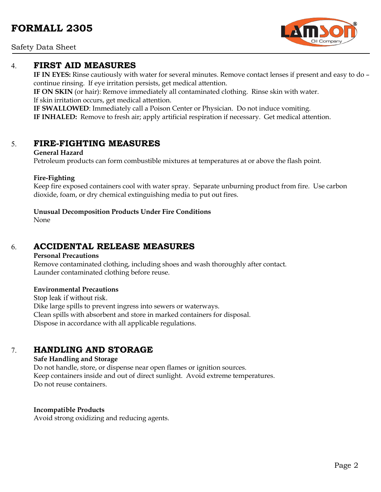Safety Data Sheet

## 4. **FIRST AID MEASURES**

**IF IN EYES:** Rinse cautiously with water for several minutes. Remove contact lenses if present and easy to do – continue rinsing. If eye irritation persists, get medical attention.

**IF ON SKIN** (or hair): Remove immediately all contaminated clothing. Rinse skin with water. If skin irritation occurs, get medical attention.

**IF SWALLOWED**: Immediately call a Poison Center or Physician. Do not induce vomiting. **IF INHALED:** Remove to fresh air; apply artificial respiration if necessary. Get medical attention.

## 5. **FIRE-FIGHTING MEASURES**

### **General Hazard**

Petroleum products can form combustible mixtures at temperatures at or above the flash point.

### **Fire-Fighting**

Keep fire exposed containers cool with water spray. Separate unburning product from fire. Use carbon dioxide, foam, or dry chemical extinguishing media to put out fires.

### **Unusual Decomposition Products Under Fire Conditions**

None

# 6. **ACCIDENTAL RELEASE MEASURES**

### **Personal Precautions**

Remove contaminated clothing, including shoes and wash thoroughly after contact. Launder contaminated clothing before reuse.

### **Environmental Precautions**

Stop leak if without risk. Dike large spills to prevent ingress into sewers or waterways. Clean spills with absorbent and store in marked containers for disposal. Dispose in accordance with all applicable regulations.

# 7. **HANDLING AND STORAGE**

### **Safe Handling and Storage**

Do not handle, store, or dispense near open flames or ignition sources. Keep containers inside and out of direct sunlight. Avoid extreme temperatures. Do not reuse containers.

### **Incompatible Products**

Avoid strong oxidizing and reducing agents.

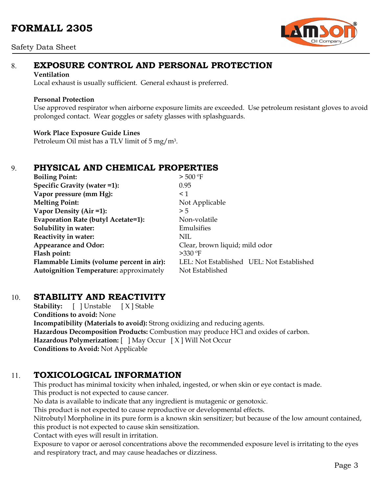# **FORMALL 2305**

### Safety Data Sheet



# 8. **EXPOSURE CONTROL AND PERSONAL PROTECTION**

#### **Ventilation**

Local exhaust is usually sufficient. General exhaust is preferred.

### **Personal Protection**

Use approved respirator when airborne exposure limits are exceeded. Use petroleum resistant gloves to avoid prolonged contact. Wear goggles or safety glasses with splashguards.

### **Work Place Exposure Guide Lines**

Petroleum Oil mist has a TLV limit of 5 mg/m3.

# 9. **PHYSICAL AND CHEMICAL PROPERTIES**

| <b>Boiling Point:</b>                          | $>$ 500 °F                                |  |
|------------------------------------------------|-------------------------------------------|--|
| Specific Gravity (water =1):                   | 0.95                                      |  |
| Vapor pressure (mm Hg):                        | $\leq 1$                                  |  |
| <b>Melting Point:</b>                          | Not Applicable                            |  |
| Vapor Density (Air =1):                        | > 5                                       |  |
| Evaporation Rate (butyl Acetate=1):            | Non-volatile                              |  |
| Solubility in water:                           | Emulsifies                                |  |
| Reactivity in water:                           | NIL                                       |  |
| <b>Appearance and Odor:</b>                    | Clear, brown liquid; mild odor            |  |
| Flash point:                                   | $>330$ °F                                 |  |
| Flammable Limits (volume percent in air):      | LEL: Not Established UEL: Not Established |  |
| <b>Autoignition Temperature:</b> approximately | Not Established                           |  |

## 10. **STABILITY AND REACTIVITY**

**Stability:** [ ] Unstable [ X ] Stable **Conditions to avoid:** None **Incompatibility (Materials to avoid):** Strong oxidizing and reducing agents. **Hazardous Decomposition Products:** Combustion may produce HCl and oxides of carbon. **Hazardous Polymerization:** [ ] May Occur [ X ] Will Not Occur **Conditions to Avoid:** Not Applicable

# 11. **TOXICOLOGICAL INFORMATION**

This product has minimal toxicity when inhaled, ingested, or when skin or eye contact is made. This product is not expected to cause cancer.

No data is available to indicate that any ingredient is mutagenic or genotoxic.

This product is not expected to cause reproductive or developmental effects.

Nitrobutyl Morpholine in its pure form is a known skin sensitizer; but because of the low amount contained, this product is not expected to cause skin sensitization.

Contact with eyes will result in irritation.

Exposure to vapor or aerosol concentrations above the recommended exposure level is irritating to the eyes and respiratory tract, and may cause headaches or dizziness.